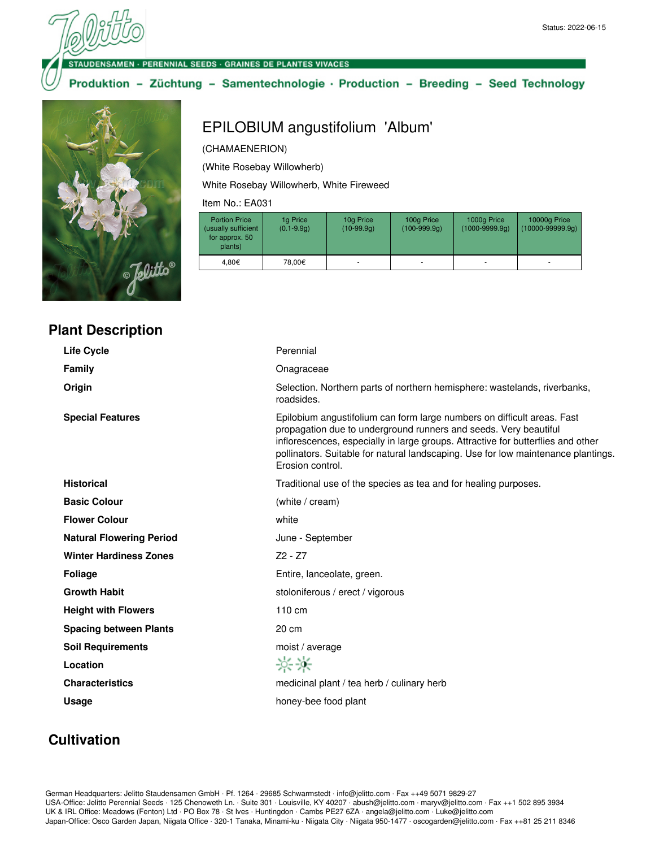#### **VSAMEN - PERENNIAL SEEDS - GRAINES DE PLANTES VIVACES**

### Produktion - Züchtung - Samentechnologie · Production - Breeding - Seed Technology



## **Plant Description**

# Life Cycle **Cycle Perennial Family Construction Construction Construction Construction Construction Construction Construction Construction Construction Construction Construction Construction Construction Construction Construction Construction Cons Origin** Selection. Northern parts of northern hemisphere: wastelands, riverbanks, roadsides. **Special Features Epilobium angustifolium can form large numbers on difficult areas. Fast** propagation due to underground runners and seeds. Very beautiful inflorescences, especially in large groups. Attractive for butterflies and other pollinators. Suitable for natural landscaping. Use for low maintenance plantings. Erosion control. **Historical** Traditional use of the species as tea and for healing purposes. **Basic Colour** (white / cream) **Flower Colour** white **Natural Flowering Period** June - September Winter Hardiness Zones **Z2 - Z7 Foliage Entire, lanceolate, green.** Growth Habit **State of American** stoloniferous / erect / vigorous **Height with Flowers** 110 cm **Spacing between Plants** 20 cm **Soil Requirements** moist / average **Location**  $-0.06 - 0.06$ **Characteristics** medicinal plant / tea herb / culinary herb Usage **Usage honey-bee food plant**

# **Cultivation**

German Headquarters: Jelitto Staudensamen GmbH · Pf. 1264 · 29685 Schwarmstedt · info@jelitto.com · Fax ++49 5071 9829-27 USA-Office: Jelitto Perennial Seeds · 125 Chenoweth Ln. · Suite 301 · Louisville, KY 40207 · abush@jelitto.com · maryv@jelitto.com · Fax ++1 502 895 3934 UK & IRL Office: Meadows (Fenton) Ltd · PO Box 78 · St Ives · Huntingdon · Cambs PE27 6ZA · angela@jelitto.com · Luke@jelitto.com Japan-Office: Osco Garden Japan, Niigata Office · 320-1 Tanaka, Minami-ku · Niigata City · Niigata 950-1477 · oscogarden@jelitto.com · Fax ++81 25 211 8346

# EPILOBIUM angustifolium 'Album'

### (CHAMAENERION)

(White Rosebay Willowherb)

White Rosebay Willowherb, White Fireweed

Item No.: EA031

| <b>Portion Price</b><br>(usually sufficient<br>for approx. 50<br>plants) | 1g Price<br>$(0.1 - 9.9q)$ | 10g Price<br>$(10-99.9q)$ | 100g Price<br>$(100-999.9q)$ | 1000g Price<br>$(1000 - 9999.9q)$ | 10000g Price<br>$(10000-99999.9q)$ |
|--------------------------------------------------------------------------|----------------------------|---------------------------|------------------------------|-----------------------------------|------------------------------------|
| 4.80€                                                                    | 78.00€                     |                           |                              | ۰                                 |                                    |